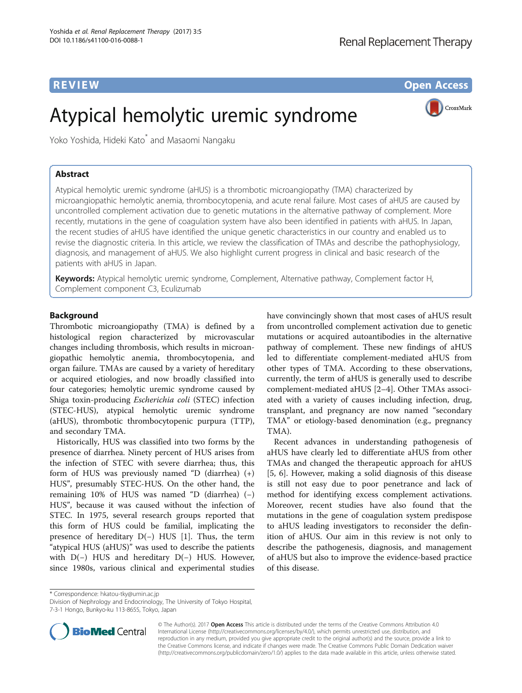**REVIEW CONSTRUCTION CONSTRUCTION CONSTRUCTS** 

# Atypical hemolytic uremic syndrome



Yoko Yoshida, Hideki Kato<sup>\*</sup> and Masaomi Nangaku

# Abstract

Atypical hemolytic uremic syndrome (aHUS) is a thrombotic microangiopathy (TMA) characterized by microangiopathic hemolytic anemia, thrombocytopenia, and acute renal failure. Most cases of aHUS are caused by uncontrolled complement activation due to genetic mutations in the alternative pathway of complement. More recently, mutations in the gene of coagulation system have also been identified in patients with aHUS. In Japan, the recent studies of aHUS have identified the unique genetic characteristics in our country and enabled us to revise the diagnostic criteria. In this article, we review the classification of TMAs and describe the pathophysiology, diagnosis, and management of aHUS. We also highlight current progress in clinical and basic research of the patients with aHUS in Japan.

Keywords: Atypical hemolytic uremic syndrome, Complement, Alternative pathway, Complement factor H, Complement component C3, Eculizumab

# Background

Thrombotic microangiopathy (TMA) is defined by a histological region characterized by microvascular changes including thrombosis, which results in microangiopathic hemolytic anemia, thrombocytopenia, and organ failure. TMAs are caused by a variety of hereditary or acquired etiologies, and now broadly classified into four categories; hemolytic uremic syndrome caused by Shiga toxin-producing Escherichia coli (STEC) infection (STEC-HUS), atypical hemolytic uremic syndrome (aHUS), thrombotic thrombocytopenic purpura (TTP), and secondary TMA.

Historically, HUS was classified into two forms by the presence of diarrhea. Ninety percent of HUS arises from the infection of STEC with severe diarrhea; thus, this form of HUS was previously named "D (diarrhea) (+) HUS", presumably STEC-HUS. On the other hand, the remaining 10% of HUS was named "D (diarrhea) (−) HUS", because it was caused without the infection of STEC. In 1975, several research groups reported that this form of HUS could be familial, implicating the presence of hereditary D(−) HUS [\[1](#page-7-0)]. Thus, the term "atypical HUS (aHUS)" was used to describe the patients with D(−) HUS and hereditary D(−) HUS. However, since 1980s, various clinical and experimental studies

have convincingly shown that most cases of aHUS result from uncontrolled complement activation due to genetic mutations or acquired autoantibodies in the alternative pathway of complement. These new findings of aHUS led to differentiate complement-mediated aHUS from other types of TMA. According to these observations, currently, the term of aHUS is generally used to describe complement-mediated aHUS [[2](#page-7-0)–[4\]](#page-7-0). Other TMAs associated with a variety of causes including infection, drug, transplant, and pregnancy are now named "secondary TMA" or etiology-based denomination (e.g., pregnancy TMA).

Recent advances in understanding pathogenesis of aHUS have clearly led to differentiate aHUS from other TMAs and changed the therapeutic approach for aHUS [[5, 6](#page-7-0)]. However, making a solid diagnosis of this disease is still not easy due to poor penetrance and lack of method for identifying excess complement activations. Moreover, recent studies have also found that the mutations in the gene of coagulation system predispose to aHUS leading investigators to reconsider the definition of aHUS. Our aim in this review is not only to describe the pathogenesis, diagnosis, and management of aHUS but also to improve the evidence-based practice of this disease.

\* Correspondence: [hkatou-tky@umin.ac.jp](mailto:hkatou-tky@umin.ac.jp)

Division of Nephrology and Endocrinology, The University of Tokyo Hospital, 7-3-1 Hongo, Bunkyo-ku 113-8655, Tokyo, Japan



© The Author(s). 2017 **Open Access** This article is distributed under the terms of the Creative Commons Attribution 4.0 International License [\(http://creativecommons.org/licenses/by/4.0/](http://creativecommons.org/licenses/by/4.0/)), which permits unrestricted use, distribution, and reproduction in any medium, provided you give appropriate credit to the original author(s) and the source, provide a link to the Creative Commons license, and indicate if changes were made. The Creative Commons Public Domain Dedication waiver [\(http://creativecommons.org/publicdomain/zero/1.0/](http://creativecommons.org/publicdomain/zero/1.0/)) applies to the data made available in this article, unless otherwise stated.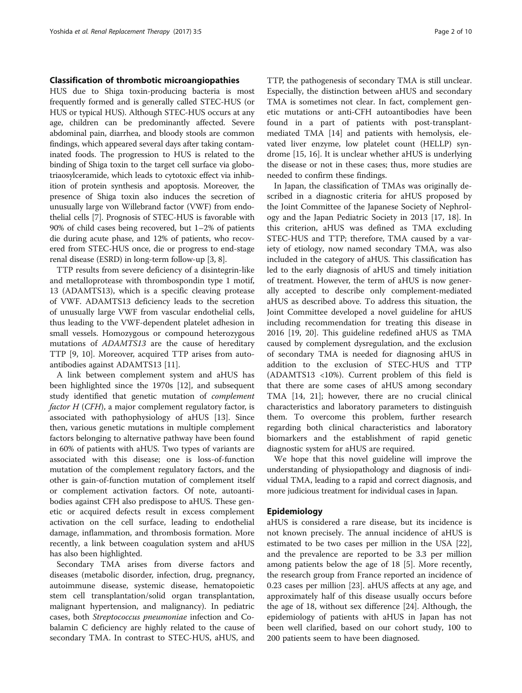#### Classification of thrombotic microangiopathies

HUS due to Shiga toxin-producing bacteria is most frequently formed and is generally called STEC-HUS (or HUS or typical HUS). Although STEC-HUS occurs at any age, children can be predominantly affected. Severe abdominal pain, diarrhea, and bloody stools are common findings, which appeared several days after taking contaminated foods. The progression to HUS is related to the binding of Shiga toxin to the target cell surface via globotriaosylceramide, which leads to cytotoxic effect via inhibition of protein synthesis and apoptosis. Moreover, the presence of Shiga toxin also induces the secretion of unusually large von Willebrand factor (VWF) from endothelial cells [[7\]](#page-7-0). Prognosis of STEC-HUS is favorable with 90% of child cases being recovered, but 1–2% of patients die during acute phase, and 12% of patients, who recovered from STEC-HUS once, die or progress to end-stage renal disease (ESRD) in long-term follow-up [\[3](#page-7-0), [8\]](#page-7-0).

TTP results from severe deficiency of a disintegrin-like and metalloprotease with thrombospondin type 1 motif, 13 (ADAMTS13), which is a specific cleaving protease of VWF. ADAMTS13 deficiency leads to the secretion of unusually large VWF from vascular endothelial cells, thus leading to the VWF-dependent platelet adhesion in small vessels. Homozygous or compound heterozygous mutations of ADAMTS13 are the cause of hereditary TTP [\[9](#page-7-0), [10](#page-7-0)]. Moreover, acquired TTP arises from autoantibodies against ADAMTS13 [\[11](#page-7-0)].

A link between complement system and aHUS has been highlighted since the 1970s [\[12\]](#page-7-0), and subsequent study identified that genetic mutation of complement factor H (CFH), a major complement regulatory factor, is associated with pathophysiology of aHUS [[13](#page-7-0)]. Since then, various genetic mutations in multiple complement factors belonging to alternative pathway have been found in 60% of patients with aHUS. Two types of variants are associated with this disease; one is loss-of-function mutation of the complement regulatory factors, and the other is gain-of-function mutation of complement itself or complement activation factors. Of note, autoantibodies against CFH also predispose to aHUS. These genetic or acquired defects result in excess complement activation on the cell surface, leading to endothelial damage, inflammation, and thrombosis formation. More recently, a link between coagulation system and aHUS has also been highlighted.

Secondary TMA arises from diverse factors and diseases (metabolic disorder, infection, drug, pregnancy, autoimmune disease, systemic disease, hematopoietic stem cell transplantation/solid organ transplantation, malignant hypertension, and malignancy). In pediatric cases, both Streptococcus pneumoniae infection and Cobalamin C deficiency are highly related to the cause of secondary TMA. In contrast to STEC-HUS, aHUS, and TTP, the pathogenesis of secondary TMA is still unclear. Especially, the distinction between aHUS and secondary TMA is sometimes not clear. In fact, complement genetic mutations or anti-CFH autoantibodies have been found in a part of patients with post-transplantmediated TMA [\[14\]](#page-7-0) and patients with hemolysis, elevated liver enzyme, low platelet count (HELLP) syndrome [\[15](#page-7-0), [16](#page-7-0)]. It is unclear whether aHUS is underlying the disease or not in these cases; thus, more studies are needed to confirm these findings.

In Japan, the classification of TMAs was originally described in a diagnostic criteria for aHUS proposed by the Joint Committee of the Japanese Society of Nephrology and the Japan Pediatric Society in 2013 [\[17, 18\]](#page-7-0). In this criterion, aHUS was defined as TMA excluding STEC-HUS and TTP; therefore, TMA caused by a variety of etiology, now named secondary TMA, was also included in the category of aHUS. This classification has led to the early diagnosis of aHUS and timely initiation of treatment. However, the term of aHUS is now generally accepted to describe only complement-mediated aHUS as described above. To address this situation, the Joint Committee developed a novel guideline for aHUS including recommendation for treating this disease in 2016 [[19, 20](#page-7-0)]. This guideline redefined aHUS as TMA caused by complement dysregulation, and the exclusion of secondary TMA is needed for diagnosing aHUS in addition to the exclusion of STEC-HUS and TTP (ADAMTS13 <10%). Current problem of this field is that there are some cases of aHUS among secondary TMA [\[14](#page-7-0), [21\]](#page-7-0); however, there are no crucial clinical characteristics and laboratory parameters to distinguish them. To overcome this problem, further research regarding both clinical characteristics and laboratory biomarkers and the establishment of rapid genetic diagnostic system for aHUS are required.

We hope that this novel guideline will improve the understanding of physiopathology and diagnosis of individual TMA, leading to a rapid and correct diagnosis, and more judicious treatment for individual cases in Japan.

### Epidemiology

aHUS is considered a rare disease, but its incidence is not known precisely. The annual incidence of aHUS is estimated to be two cases per million in the USA [\[22](#page-7-0)], and the prevalence are reported to be 3.3 per million among patients below the age of 18 [[5](#page-7-0)]. More recently, the research group from France reported an incidence of 0.23 cases per million [\[23\]](#page-7-0). aHUS affects at any age, and approximately half of this disease usually occurs before the age of 18, without sex difference [\[24\]](#page-7-0). Although, the epidemiology of patients with aHUS in Japan has not been well clarified, based on our cohort study, 100 to 200 patients seem to have been diagnosed.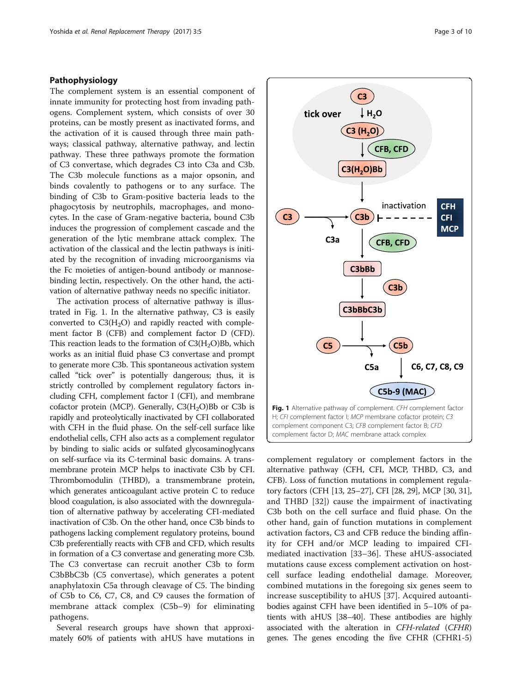# Pathophysiology

The complement system is an essential component of innate immunity for protecting host from invading pathogens. Complement system, which consists of over 30 proteins, can be mostly present as inactivated forms, and the activation of it is caused through three main pathways; classical pathway, alternative pathway, and lectin pathway. These three pathways promote the formation of C3 convertase, which degrades C3 into C3a and C3b. The C3b molecule functions as a major opsonin, and binds covalently to pathogens or to any surface. The binding of C3b to Gram-positive bacteria leads to the phagocytosis by neutrophils, macrophages, and monocytes. In the case of Gram-negative bacteria, bound C3b induces the progression of complement cascade and the generation of the lytic membrane attack complex. The activation of the classical and the lectin pathways is initiated by the recognition of invading microorganisms via the Fc moieties of antigen-bound antibody or mannosebinding lectin, respectively. On the other hand, the activation of alternative pathway needs no specific initiator.

The activation process of alternative pathway is illustrated in Fig. 1. In the alternative pathway, C3 is easily converted to  $C_3(H_2O)$  and rapidly reacted with complement factor B (CFB) and complement factor D (CFD). This reaction leads to the formation of  $C3(H<sub>2</sub>O)Bb$ , which works as an initial fluid phase C3 convertase and prompt to generate more C3b. This spontaneous activation system called "tick over" is potentially dangerous; thus, it is strictly controlled by complement regulatory factors including CFH, complement factor I (CFI), and membrane cofactor protein (MCP). Generally,  $C3(H<sub>2</sub>O)Bb$  or C3b is rapidly and proteolytically inactivated by CFI collaborated with CFH in the fluid phase. On the self-cell surface like endothelial cells, CFH also acts as a complement regulator by binding to sialic acids or sulfated glycosaminoglycans on self-surface via its C-terminal basic domains. A transmembrane protein MCP helps to inactivate C3b by CFI. Thrombomodulin (THBD), a transmembrane protein, which generates anticoagulant active protein C to reduce blood coagulation, is also associated with the downregulation of alternative pathway by accelerating CFI-mediated inactivation of C3b. On the other hand, once C3b binds to pathogens lacking complement regulatory proteins, bound C3b preferentially reacts with CFB and CFD, which results in formation of a C3 convertase and generating more C3b. The C3 convertase can recruit another C3b to form C3bBbC3b (C5 convertase), which generates a potent anaphylatoxin C5a through cleavage of C5. The binding of C5b to C6, C7, C8, and C9 causes the formation of membrane attack complex (C5b–9) for eliminating pathogens.

Several research groups have shown that approximately 60% of patients with aHUS have mutations in

complement regulatory or complement factors in the alternative pathway (CFH, CFI, MCP, THBD, C3, and CFB). Loss of function mutations in complement regulatory factors (CFH [\[13](#page-7-0), [25](#page-7-0)–[27](#page-7-0)], CFI [[28](#page-7-0), [29](#page-8-0)], MCP [\[30, 31](#page-8-0)], and THBD [\[32](#page-8-0)]) cause the impairment of inactivating complement factor D; MAC membrane attack complex

C3b both on the cell surface and fluid phase. On the other hand, gain of function mutations in complement activation factors, C3 and CFB reduce the binding affinity for CFH and/or MCP leading to impaired CFImediated inactivation [\[33](#page-8-0)–[36](#page-8-0)]. These aHUS-associated mutations cause excess complement activation on hostcell surface leading endothelial damage. Moreover, combined mutations in the foregoing six genes seem to increase susceptibility to aHUS [[37\]](#page-8-0). Acquired autoantibodies against CFH have been identified in 5–10% of patients with aHUS [[38](#page-8-0)–[40\]](#page-8-0). These antibodies are highly associated with the alteration in CFH-related (CFHR) genes. The genes encoding the five CFHR (CFHR1-5)

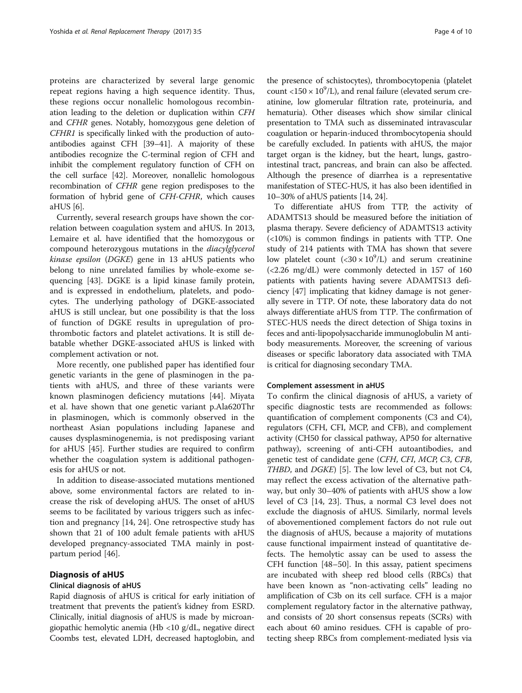proteins are characterized by several large genomic repeat regions having a high sequence identity. Thus, these regions occur nonallelic homologous recombination leading to the deletion or duplication within CFH and CFHR genes. Notably, homozygous gene deletion of CFHR1 is specifically linked with the production of autoantibodies against CFH [\[39](#page-8-0)–[41\]](#page-8-0). A majority of these antibodies recognize the C-terminal region of CFH and inhibit the complement regulatory function of CFH on the cell surface [[42](#page-8-0)]. Moreover, nonallelic homologous recombination of CFHR gene region predisposes to the formation of hybrid gene of CFH-CFHR, which causes aHUS [\[6](#page-7-0)].

Currently, several research groups have shown the correlation between coagulation system and aHUS. In 2013, Lemaire et al. have identified that the homozygous or compound heterozygous mutations in the diacylglycerol kinase epsilon (DGKE) gene in 13 aHUS patients who belong to nine unrelated families by whole-exome sequencing [\[43](#page-8-0)]. DGKE is a lipid kinase family protein, and is expressed in endothelium, platelets, and podocytes. The underlying pathology of DGKE-associated aHUS is still unclear, but one possibility is that the loss of function of DGKE results in upregulation of prothrombotic factors and platelet activations. It is still debatable whether DGKE-associated aHUS is linked with complement activation or not.

More recently, one published paper has identified four genetic variants in the gene of plasminogen in the patients with aHUS, and three of these variants were known plasminogen deficiency mutations [\[44\]](#page-8-0). Miyata et al. have shown that one genetic variant p.Ala620Thr in plasminogen, which is commonly observed in the northeast Asian populations including Japanese and causes dysplasminogenemia, is not predisposing variant for aHUS [\[45\]](#page-8-0). Further studies are required to confirm whether the coagulation system is additional pathogenesis for aHUS or not.

In addition to disease-associated mutations mentioned above, some environmental factors are related to increase the risk of developing aHUS. The onset of aHUS seems to be facilitated by various triggers such as infection and pregnancy [\[14](#page-7-0), [24](#page-7-0)]. One retrospective study has shown that 21 of 100 adult female patients with aHUS developed pregnancy-associated TMA mainly in postpartum period [[46\]](#page-8-0).

# Diagnosis of aHUS

# Clinical diagnosis of aHUS

Rapid diagnosis of aHUS is critical for early initiation of treatment that prevents the patient's kidney from ESRD. Clinically, initial diagnosis of aHUS is made by microangiopathic hemolytic anemia (Hb <10 g/dL, negative direct Coombs test, elevated LDH, decreased haptoglobin, and

the presence of schistocytes), thrombocytopenia (platelet count <150  $\times$  10<sup>9</sup>/L), and renal failure (elevated serum creatinine, low glomerular filtration rate, proteinuria, and hematuria). Other diseases which show similar clinical presentation to TMA such as disseminated intravascular coagulation or heparin-induced thrombocytopenia should be carefully excluded. In patients with aHUS, the major target organ is the kidney, but the heart, lungs, gastrointestinal tract, pancreas, and brain can also be affected. Although the presence of diarrhea is a representative manifestation of STEC-HUS, it has also been identified in 10–30% of aHUS patients [\[14, 24](#page-7-0)].

To differentiate aHUS from TTP, the activity of ADAMTS13 should be measured before the initiation of plasma therapy. Severe deficiency of ADAMTS13 activity (<10%) is common findings in patients with TTP. One study of 214 patients with TMA has shown that severe low platelet count (<30 ×  $10^9$ /L) and serum creatinine (<2.26 mg/dL) were commonly detected in 157 of 160 patients with patients having severe ADAMTS13 deficiency [[47](#page-8-0)] implicating that kidney damage is not generally severe in TTP. Of note, these laboratory data do not always differentiate aHUS from TTP. The confirmation of STEC-HUS needs the direct detection of Shiga toxins in feces and anti-lipopolysaccharide immunoglobulin M antibody measurements. Moreover, the screening of various diseases or specific laboratory data associated with TMA is critical for diagnosing secondary TMA.

#### Complement assessment in aHUS

To confirm the clinical diagnosis of aHUS, a variety of specific diagnostic tests are recommended as follows: quantification of complement components (C3 and C4), regulators (CFH, CFI, MCP, and CFB), and complement activity (CH50 for classical pathway, AP50 for alternative pathway), screening of anti-CFH autoantibodies, and genetic test of candidate gene (CFH, CFI, MCP, C3, CFB, THBD, and DGKE) [\[5](#page-7-0)]. The low level of C3, but not C4, may reflect the excess activation of the alternative pathway, but only 30–40% of patients with aHUS show a low level of C3 [[14](#page-7-0), [23\]](#page-7-0). Thus, a normal C3 level does not exclude the diagnosis of aHUS. Similarly, normal levels of abovementioned complement factors do not rule out the diagnosis of aHUS, because a majority of mutations cause functional impairment instead of quantitative defects. The hemolytic assay can be used to assess the CFH function [[48](#page-8-0)–[50](#page-8-0)]. In this assay, patient specimens are incubated with sheep red blood cells (RBCs) that have been known as "non-activating cells" leading no amplification of C3b on its cell surface. CFH is a major complement regulatory factor in the alternative pathway, and consists of 20 short consensus repeats (SCRs) with each about 60 amino residues. CFH is capable of protecting sheep RBCs from complement-mediated lysis via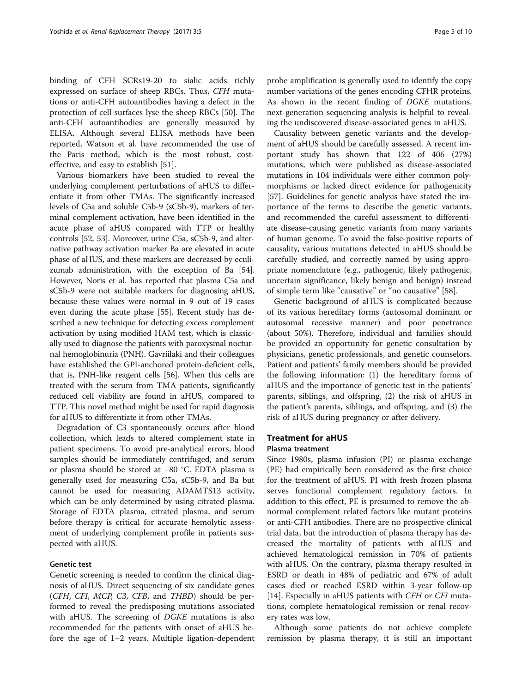binding of CFH SCRs19-20 to sialic acids richly expressed on surface of sheep RBCs. Thus, CFH mutations or anti-CFH autoantibodies having a defect in the protection of cell surfaces lyse the sheep RBCs [[50\]](#page-8-0). The anti-CFH autoantibodies are generally measured by ELISA. Although several ELISA methods have been reported, Watson et al. have recommended the use of the Paris method, which is the most robust, costeffective, and easy to establish [[51\]](#page-8-0).

Various biomarkers have been studied to reveal the underlying complement perturbations of aHUS to differentiate it from other TMAs. The significantly increased levels of C5a and soluble C5b-9 (sC5b-9), markers of terminal complement activation, have been identified in the acute phase of aHUS compared with TTP or healthy controls [[52](#page-8-0), [53](#page-8-0)]. Moreover, urine C5a, sC5b-9, and alternative pathway activation marker Ba are elevated in acute phase of aHUS, and these markers are decreased by eculizumab administration, with the exception of Ba [[54](#page-8-0)]. However, Noris et al. has reported that plasma C5a and sC5b-9 were not suitable markers for diagnosing aHUS, because these values were normal in 9 out of 19 cases even during the acute phase [\[55\]](#page-8-0). Recent study has described a new technique for detecting excess complement activation by using modified HAM test, which is classically used to diagnose the patients with paroxysmal nocturnal hemoglobinuria (PNH). Gavriilaki and their colleagues have established the GPI-anchored protein-deficient cells, that is, PNH-like reagent cells [[56\]](#page-8-0). When this cells are treated with the serum from TMA patients, significantly reduced cell viability are found in aHUS, compared to TTP. This novel method might be used for rapid diagnosis for aHUS to differentiate it from other TMAs.

Degradation of C3 spontaneously occurs after blood collection, which leads to altered complement state in patient specimens. To avoid pre-analytical errors, blood samples should be immediately centrifuged, and serum or plasma should be stored at −80 °C. EDTA plasma is generally used for measuring C5a, sC5b-9, and Ba but cannot be used for measuring ADAMTS13 activity, which can be only determined by using citrated plasma. Storage of EDTA plasma, citrated plasma, and serum before therapy is critical for accurate hemolytic assessment of underlying complement profile in patients suspected with aHUS.

#### Genetic test

Genetic screening is needed to confirm the clinical diagnosis of aHUS. Direct sequencing of six candidate genes (CFH, CFI, MCP, C3, CFB, and THBD) should be performed to reveal the predisposing mutations associated with aHUS. The screening of DGKE mutations is also recommended for the patients with onset of aHUS before the age of 1–2 years. Multiple ligation-dependent

probe amplification is generally used to identify the copy number variations of the genes encoding CFHR proteins. As shown in the recent finding of DGKE mutations, next-generation sequencing analysis is helpful to revealing the undiscovered disease-associated genes in aHUS.

Causality between genetic variants and the development of aHUS should be carefully assessed. A recent important study has shown that 122 of 406 (27%) mutations, which were published as disease-associated mutations in 104 individuals were either common polymorphisms or lacked direct evidence for pathogenicity [[57\]](#page-8-0). Guidelines for genetic analysis have stated the importance of the terms to describe the genetic variants, and recommended the careful assessment to differentiate disease-causing genetic variants from many variants of human genome. To avoid the false-positive reports of causality, various mutations detected in aHUS should be carefully studied, and correctly named by using appropriate nomenclature (e.g., pathogenic, likely pathogenic, uncertain significance, likely benign and benign) instead of simple term like "causative" or "no causative" [\[58](#page-8-0)].

Genetic background of aHUS is complicated because of its various hereditary forms (autosomal dominant or autosomal recessive manner) and poor penetrance (about 50%). Therefore, individual and families should be provided an opportunity for genetic consultation by physicians, genetic professionals, and genetic counselors. Patient and patients' family members should be provided the following information: (1) the hereditary forms of aHUS and the importance of genetic test in the patients' parents, siblings, and offspring, (2) the risk of aHUS in the patient's parents, siblings, and offspring, and (3) the risk of aHUS during pregnancy or after delivery.

#### Treatment for aHUS

# Plasma treatment

Since 1980s, plasma infusion (PI) or plasma exchange (PE) had empirically been considered as the first choice for the treatment of aHUS. PI with fresh frozen plasma serves functional complement regulatory factors. In addition to this effect, PE is presumed to remove the abnormal complement related factors like mutant proteins or anti-CFH antibodies. There are no prospective clinical trial data, but the introduction of plasma therapy has decreased the mortality of patients with aHUS and achieved hematological remission in 70% of patients with aHUS. On the contrary, plasma therapy resulted in ESRD or death in 48% of pediatric and 67% of adult cases died or reached ESRD within 3-year follow-up [[14\]](#page-7-0). Especially in aHUS patients with CFH or CFI mutations, complete hematological remission or renal recovery rates was low.

Although some patients do not achieve complete remission by plasma therapy, it is still an important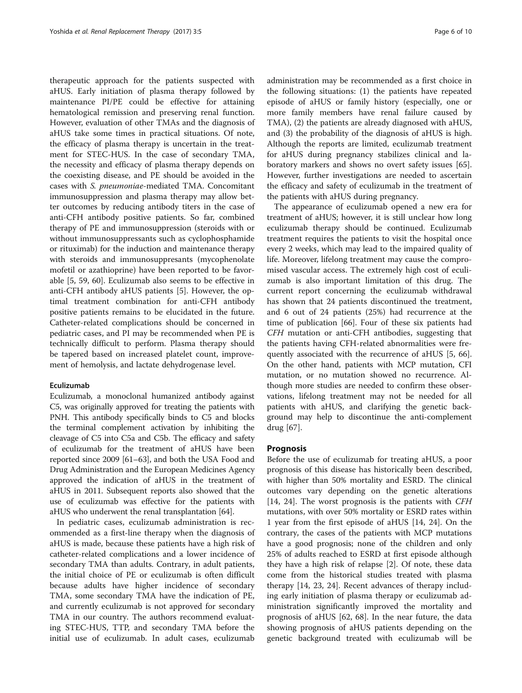therapeutic approach for the patients suspected with aHUS. Early initiation of plasma therapy followed by maintenance PI/PE could be effective for attaining hematological remission and preserving renal function. However, evaluation of other TMAs and the diagnosis of aHUS take some times in practical situations. Of note, the efficacy of plasma therapy is uncertain in the treatment for STEC-HUS. In the case of secondary TMA, the necessity and efficacy of plasma therapy depends on the coexisting disease, and PE should be avoided in the cases with S. pneumoniae-mediated TMA. Concomitant immunosuppression and plasma therapy may allow better outcomes by reducing antibody titers in the case of anti-CFH antibody positive patients. So far, combined therapy of PE and immunosuppression (steroids with or without immunosuppressants such as cyclophosphamide or rituximab) for the induction and maintenance therapy with steroids and immunosuppresants (mycophenolate mofetil or azathioprine) have been reported to be favorable [[5](#page-7-0), [59, 60\]](#page-8-0). Eculizumab also seems to be effective in anti-CFH antibody aHUS patients [[5](#page-7-0)]. However, the optimal treatment combination for anti-CFH antibody positive patients remains to be elucidated in the future. Catheter-related complications should be concerned in pediatric cases, and PI may be recommended when PE is technically difficult to perform. Plasma therapy should be tapered based on increased platelet count, improvement of hemolysis, and lactate dehydrogenase level.

#### Eculizumab

Eculizumab, a monoclonal humanized antibody against C5, was originally approved for treating the patients with PNH. This antibody specifically binds to C5 and blocks the terminal complement activation by inhibiting the cleavage of C5 into C5a and C5b. The efficacy and safety of eculizumab for the treatment of aHUS have been reported since 2009 [\[61](#page-8-0)–[63\]](#page-8-0), and both the USA Food and Drug Administration and the European Medicines Agency approved the indication of aHUS in the treatment of aHUS in 2011. Subsequent reports also showed that the use of eculizumab was effective for the patients with aHUS who underwent the renal transplantation [[64](#page-8-0)].

In pediatric cases, eculizumab administration is recommended as a first-line therapy when the diagnosis of aHUS is made, because these patients have a high risk of catheter-related complications and a lower incidence of secondary TMA than adults. Contrary, in adult patients, the initial choice of PE or eculizumab is often difficult because adults have higher incidence of secondary TMA, some secondary TMA have the indication of PE, and currently eculizumab is not approved for secondary TMA in our country. The authors recommend evaluating STEC-HUS, TTP, and secondary TMA before the initial use of eculizumab. In adult cases, eculizumab administration may be recommended as a first choice in the following situations: (1) the patients have repeated episode of aHUS or family history (especially, one or more family members have renal failure caused by TMA), (2) the patients are already diagnosed with aHUS, and (3) the probability of the diagnosis of aHUS is high. Although the reports are limited, eculizumab treatment for aHUS during pregnancy stabilizes clinical and laboratory markers and shows no overt safety issues [\[65](#page-8-0)]. However, further investigations are needed to ascertain the efficacy and safety of eculizumab in the treatment of the patients with aHUS during pregnancy.

The appearance of eculizumab opened a new era for treatment of aHUS; however, it is still unclear how long eculizumab therapy should be continued. Eculizumab treatment requires the patients to visit the hospital once every 2 weeks, which may lead to the impaired quality of life. Moreover, lifelong treatment may cause the compromised vascular access. The extremely high cost of eculizumab is also important limitation of this drug. The current report concerning the eculizumab withdrawal has shown that 24 patients discontinued the treatment, and 6 out of 24 patients (25%) had recurrence at the time of publication [\[66](#page-8-0)]. Four of these six patients had CFH mutation or anti-CFH antibodies, suggesting that the patients having CFH-related abnormalities were frequently associated with the recurrence of aHUS [[5,](#page-7-0) [66](#page-8-0)]. On the other hand, patients with MCP mutation, CFI mutation, or no mutation showed no recurrence. Although more studies are needed to confirm these observations, lifelong treatment may not be needed for all patients with aHUS, and clarifying the genetic background may help to discontinue the anti-complement drug [[67\]](#page-8-0).

### Prognosis

Before the use of eculizumab for treating aHUS, a poor prognosis of this disease has historically been described, with higher than 50% mortality and ESRD. The clinical outcomes vary depending on the genetic alterations [[14, 24\]](#page-7-0). The worst prognosis is the patients with CFH mutations, with over 50% mortality or ESRD rates within 1 year from the first episode of aHUS [\[14](#page-7-0), [24](#page-7-0)]. On the contrary, the cases of the patients with MCP mutations have a good prognosis; none of the children and only 25% of adults reached to ESRD at first episode although they have a high risk of relapse [\[2\]](#page-7-0). Of note, these data come from the historical studies treated with plasma therapy [\[14, 23](#page-7-0), [24](#page-7-0)]. Recent advances of therapy including early initiation of plasma therapy or eculizumab administration significantly improved the mortality and prognosis of aHUS [\[62, 68](#page-8-0)]. In the near future, the data showing prognosis of aHUS patients depending on the genetic background treated with eculizumab will be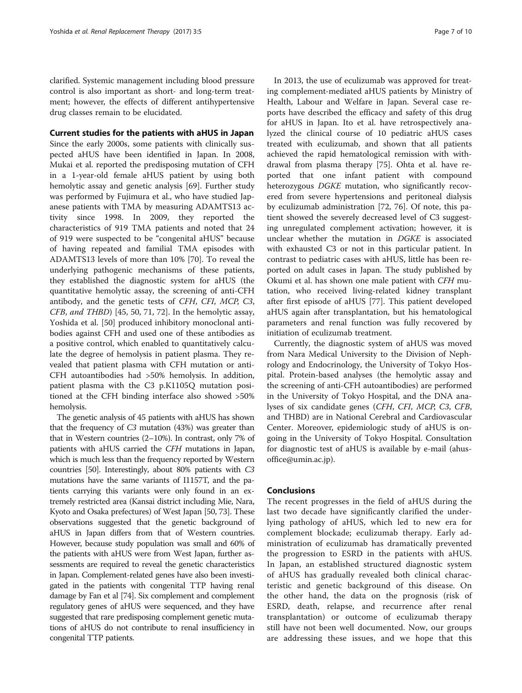clarified. Systemic management including blood pressure control is also important as short- and long-term treatment; however, the effects of different antihypertensive drug classes remain to be elucidated.

#### Current studies for the patients with aHUS in Japan

Since the early 2000s, some patients with clinically suspected aHUS have been identified in Japan. In 2008, Mukai et al. reported the predisposing mutation of CFH in a 1-year-old female aHUS patient by using both hemolytic assay and genetic analysis [\[69](#page-8-0)]. Further study was performed by Fujimura et al., who have studied Japanese patients with TMA by measuring ADAMTS13 activity since 1998. In 2009, they reported the characteristics of 919 TMA patients and noted that 24 of 919 were suspected to be "congenital aHUS" because of having repeated and familial TMA episodes with ADAMTS13 levels of more than 10% [\[70](#page-9-0)]. To reveal the underlying pathogenic mechanisms of these patients, they established the diagnostic system for aHUS (the quantitative hemolytic assay, the screening of anti-CFH antibody, and the genetic tests of CFH, CFI, MCP, C3, CFB, and THBD) [\[45](#page-8-0), [50,](#page-8-0) [71, 72\]](#page-9-0). In the hemolytic assay, Yoshida et al. [[50\]](#page-8-0) produced inhibitory monoclonal antibodies against CFH and used one of these antibodies as a positive control, which enabled to quantitatively calculate the degree of hemolysis in patient plasma. They revealed that patient plasma with CFH mutation or anti-CFH autoantibodies had >50% hemolysis. In addition, patient plasma with the C3 p.K1105Q mutation positioned at the CFH binding interface also showed >50% hemolysis.

The genetic analysis of 45 patients with aHUS has shown that the frequency of C3 mutation (43%) was greater than that in Western countries (2–10%). In contrast, only 7% of patients with aHUS carried the CFH mutations in Japan, which is much less than the frequency reported by Western countries [\[50\]](#page-8-0). Interestingly, about 80% patients with C3 mutations have the same variants of I1157T, and the patients carrying this variants were only found in an extremely restricted area (Kansai district including Mie, Nara, Kyoto and Osaka prefectures) of West Japan [\[50](#page-8-0), [73](#page-9-0)]. These observations suggested that the genetic background of aHUS in Japan differs from that of Western countries. However, because study population was small and 60% of the patients with aHUS were from West Japan, further assessments are required to reveal the genetic characteristics in Japan. Complement-related genes have also been investigated in the patients with congenital TTP having renal damage by Fan et al [[74](#page-9-0)]. Six complement and complement regulatory genes of aHUS were sequenced, and they have suggested that rare predisposing complement genetic mutations of aHUS do not contribute to renal insufficiency in congenital TTP patients.

In 2013, the use of eculizumab was approved for treating complement-mediated aHUS patients by Ministry of Health, Labour and Welfare in Japan. Several case reports have described the efficacy and safety of this drug for aHUS in Japan. Ito et al. have retrospectively analyzed the clinical course of 10 pediatric aHUS cases treated with eculizumab, and shown that all patients achieved the rapid hematological remission with withdrawal from plasma therapy [[75\]](#page-9-0). Ohta et al. have reported that one infant patient with compound heterozygous DGKE mutation, who significantly recovered from severe hypertensions and peritoneal dialysis by eculizumab administration [[72](#page-9-0), [76\]](#page-9-0). Of note, this patient showed the severely decreased level of C3 suggesting unregulated complement activation; however, it is unclear whether the mutation in DGKE is associated with exhausted C3 or not in this particular patient. In contrast to pediatric cases with aHUS, little has been reported on adult cases in Japan. The study published by Okumi et al. has shown one male patient with CFH mutation, who received living-related kidney transplant after first episode of aHUS [\[77](#page-9-0)]. This patient developed aHUS again after transplantation, but his hematological parameters and renal function was fully recovered by initiation of eculizumab treatment.

Currently, the diagnostic system of aHUS was moved from Nara Medical University to the Division of Nephrology and Endocrinology, the University of Tokyo Hospital. Protein-based analyses (the hemolytic assay and the screening of anti-CFH autoantibodies) are performed in the University of Tokyo Hospital, and the DNA analyses of six candidate genes (CFH, CFI, MCP, C3, CFB, and THBD) are in National Cerebral and Cardiovascular Center. Moreover, epidemiologic study of aHUS is ongoing in the University of Tokyo Hospital. Consultation for diagnostic test of aHUS is available by e-mail (ahusoffice@umin.ac.jp).

# Conclusions

The recent progresses in the field of aHUS during the last two decade have significantly clarified the underlying pathology of aHUS, which led to new era for complement blockade; eculizumab therapy. Early administration of eculizumab has dramatically prevented the progression to ESRD in the patients with aHUS. In Japan, an established structured diagnostic system of aHUS has gradually revealed both clinical characteristic and genetic background of this disease. On the other hand, the data on the prognosis (risk of ESRD, death, relapse, and recurrence after renal transplantation) or outcome of eculizumab therapy still have not been well documented. Now, our groups are addressing these issues, and we hope that this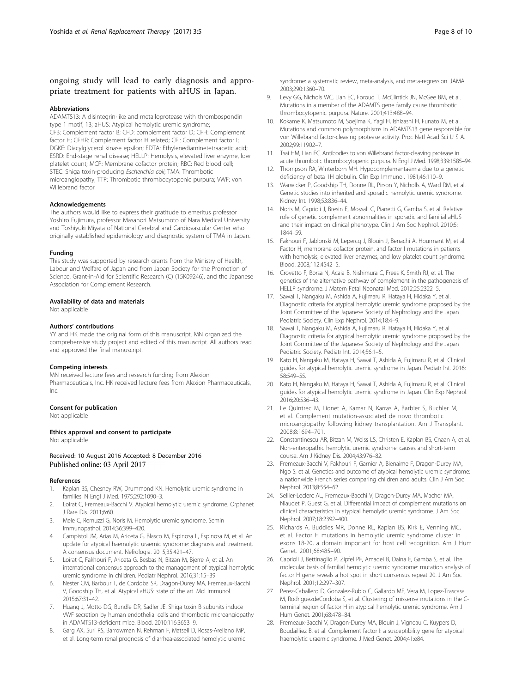# <span id="page-7-0"></span>ongoing study will lead to early diagnosis and appropriate treatment for patients with aHUS in Japan.

#### Abbreviations

ADAMTS13: A disintegrin-like and metalloprotease with thrombospondin type 1 motif, 13; aHUS: Atypical hemolytic uremic syndrome; CFB: Complement factor B; CFD: complement factor D; CFH: Complement factor H; CFHR: Complement factor H related; CFI: Complement factor I; DGKE: Diacylglycerol kinase epsilon; EDTA: Ethylenediaminetetraacetic acid; ESRD: End-stage renal disease; HELLP: Hemolysis, elevated liver enzyme, low platelet count; MCP: Membrane cofactor protein; RBC: Red blood cell; STEC: Shiga toxin-producing Escherichia coli; TMA: Thrombotic microangiopathy; TTP: Thrombotic thrombocytopenic purpura; VWF: von Willebrand factor

#### Acknowledgements

The authors would like to express their gratitude to emeritus professor Yoshiro Fujimura, professor Masanori Matsumoto of Nara Medical University and Toshiyuki Miyata of National Cerebral and Cardiovascular Center who originally established epidemiology and diagnostic system of TMA in Japan.

#### Funding

This study was supported by research grants from the Ministry of Health, Labour and Welfare of Japan and from Japan Society for the Promotion of Science, Grant-in-Aid for Scientific Research (C) (15K09246), and the Japanese Association for Complement Research.

#### Availability of data and materials

Not applicable

#### Authors' contributions

YY and HK made the original form of this manuscript. MN organized the comprehensive study project and edited of this manuscript. All authors read and approved the final manuscript.

#### Competing interests

MN received lecture fees and research funding from Alexion Pharmaceuticals, Inc. HK received lecture fees from Alexion Pharmaceuticals, Inc.

#### Consent for publication

Not applicable

#### Ethics approval and consent to participate Not applicable

Received: 10 August 2016 Accepted: 8 December 2016 Published online: 03 April 2017

#### References

- 1. Kaplan BS, Chesney RW, Drummond KN. Hemolytic uremic syndrome in families. N Engl J Med. 1975;292:1090–3.
- 2. Loirat C, Fremeaux-Bacchi V. Atypical hemolytic uremic syndrome. Orphanet J Rare Dis. 2011;6:60.
- 3. Mele C, Remuzzi G, Noris M. Hemolytic uremic syndrome. Semin Immunopathol. 2014;36:399–420.
- 4. Campistol JM, Arias M, Ariceta G, Blasco M, Espinosa L, Espinosa M, et al. An update for atypical haemolytic uraemic syndrome: diagnosis and treatment. A consensus document. Nefrologia. 2015;35:421–47.
- Loirat C, Fakhouri F, Ariceta G, Besbas N, Bitzan M, Bjerre A, et al. An international consensus approach to the management of atypical hemolytic uremic syndrome in children. Pediatr Nephrol. 2016;31:15–39.
- 6. Nester CM, Barbour T, de Cordoba SR, Dragon-Durey MA, Fremeaux-Bacchi V, Goodship TH, et al. Atypical aHUS: state of the art. Mol Immunol. 2015;67:31–42.
- Huang J, Motto DG, Bundle DR, Sadler JE. Shiga toxin B subunits induce VWF secretion by human endothelial cells and thrombotic microangiopathy in ADAMTS13-deficient mice. Blood. 2010;116:3653–9.
- 8. Garg AX, Suri RS, Barrowman N, Rehman F, Matsell D, Rosas-Arellano MP, et al. Long-term renal prognosis of diarrhea-associated hemolytic uremic

syndrome: a systematic review, meta-analysis, and meta-regression. JAMA. 2003;290:1360–70.

- 9. Levy GG, Nichols WC, Lian EC, Foroud T, McClintick JN, McGee BM, et al. Mutations in a member of the ADAMTS gene family cause thrombotic thrombocytopenic purpura. Nature. 2001;413:488–94.
- 10. Kokame K, Matsumoto M, Soejima K, Yagi H, Ishizashi H, Funato M, et al. Mutations and common polymorphisms in ADAMTS13 gene responsible for von Willebrand factor-cleaving protease activity. Proc Natl Acad Sci U S A. 2002;99:11902–7.
- 11. Tsai HM, Lian EC. Antibodies to von Willebrand factor-cleaving protease in acute thrombotic thrombocytopenic purpura. N Engl J Med. 1998;339:1585–94.
- 12. Thompson RA, Winterborn MH. Hypocomplementaemia due to a genetic deficiency of beta 1H globulin. Clin Exp Immunol. 1981;46:110–9.
- 13. Warwicker P, Goodship TH, Donne RL, Pirson Y, Nicholls A, Ward RM, et al. Genetic studies into inherited and sporadic hemolytic uremic syndrome. Kidney Int. 1998;53:836–44.
- 14. Noris M, Caprioli J, Bresin E, Mossali C, Pianetti G, Gamba S, et al. Relative role of genetic complement abnormalities in sporadic and familial aHUS and their impact on clinical phenotype. Clin J Am Soc Nephrol. 2010;5: 1844–59.
- 15. Fakhouri F, Jablonski M, Lepercq J, Blouin J, Benachi A, Hourmant M, et al. Factor H, membrane cofactor protein, and factor I mutations in patients with hemolysis, elevated liver enzymes, and low platelet count syndrome. Blood. 2008;112:4542–5.
- 16. Crovetto F, Borsa N, Acaia B, Nishimura C, Frees K, Smith RJ, et al. The genetics of the alternative pathway of complement in the pathogenesis of HELLP syndrome. J Matern Fetal Neonatal Med. 2012;25:2322–5.
- 17. Sawai T, Nangaku M, Ashida A, Fujimaru R, Hataya H, Hidaka Y, et al. Diagnostic criteria for atypical hemolytic uremic syndrome proposed by the Joint Committee of the Japanese Society of Nephrology and the Japan Pediatric Society. Clin Exp Nephrol. 2014;18:4–9.
- 18. Sawai T, Nangaku M, Ashida A, Fujimaru R, Hataya H, Hidaka Y, et al. Diagnostic criteria for atypical hemolytic uremic syndrome proposed by the Joint Committee of the Japanese Society of Nephrology and the Japan Pediatric Society. Pediatr Int. 2014;56:1–5.
- 19. Kato H, Nangaku M, Hataya H, Sawai T, Ashida A, Fujimaru R, et al. Clinical guides for atypical hemolytic uremic syndrome in Japan. Pediatr Int. 2016; 58:549–55.
- 20. Kato H, Nangaku M, Hataya H, Sawai T, Ashida A, Fujimaru R, et al. Clinical guides for atypical hemolytic uremic syndrome in Japan. Clin Exp Nephrol. 2016;20:536–43.
- 21. Le Quintrec M, Lionet A, Kamar N, Karras A, Barbier S, Buchler M, et al. Complement mutation-associated de novo thrombotic microangiopathy following kidney transplantation. Am J Transplant. 2008;8:1694–701.
- 22. Constantinescu AR, Bitzan M, Weiss LS, Christen E, Kaplan BS, Cnaan A, et al. Non-enteropathic hemolytic uremic syndrome: causes and short-term course. Am J Kidney Dis. 2004;43:976–82.
- 23. Fremeaux-Bacchi V, Fakhouri F, Garnier A, Bienaime F, Dragon-Durey MA, Ngo S, et al. Genetics and outcome of atypical hemolytic uremic syndrome: a nationwide French series comparing children and adults. Clin J Am Soc Nephrol. 2013;8:554–62.
- 24. Sellier-Leclerc AL, Fremeaux-Bacchi V, Dragon-Durey MA, Macher MA, Niaudet P, Guest G, et al. Differential impact of complement mutations on clinical characteristics in atypical hemolytic uremic syndrome. J Am Soc Nephrol. 2007;18:2392–400.
- 25. Richards A, Buddles MR, Donne RL, Kaplan BS, Kirk E, Venning MC, et al. Factor H mutations in hemolytic uremic syndrome cluster in exons 18-20, a domain important for host cell recognition. Am J Hum Genet. 2001;68:485–90.
- 26. Caprioli J, Bettinaglio P, Zipfel PF, Amadei B, Daina E, Gamba S, et al. The molecular basis of familial hemolytic uremic syndrome: mutation analysis of factor H gene reveals a hot spot in short consensus repeat 20. J Am Soc Nephrol. 2001;12:297–307.
- 27. Perez-Caballero D, Gonzalez-Rubio C, Gallardo ME, Vera M, Lopez-Trascasa M, RodriguezdeCordoba S, et al. Clustering of missense mutations in the Cterminal region of factor H in atypical hemolytic uremic syndrome. Am J Hum Genet. 2001;68:478–84.
- 28. Fremeaux-Bacchi V, Dragon-Durey MA, Blouin J, Vigneau C, Kuypers D, Boudailliez B, et al. Complement factor I: a susceptibility gene for atypical haemolytic uraemic syndrome. J Med Genet. 2004;41:e84.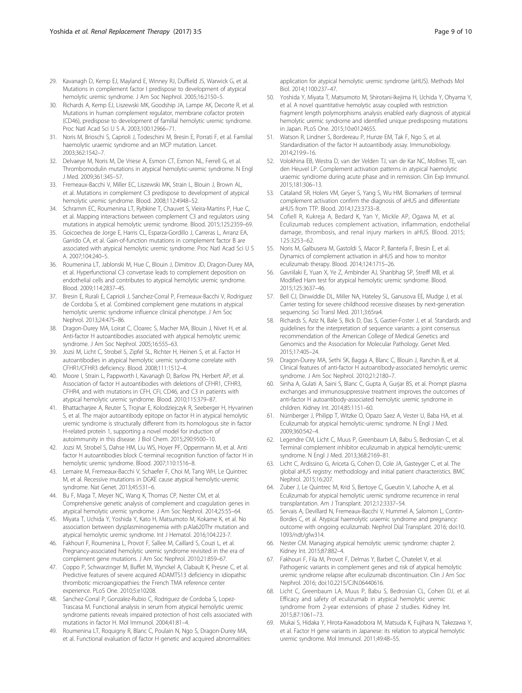- <span id="page-8-0"></span>29. Kavanagh D, Kemp EJ, Mayland E, Winney RJ, Duffield JS, Warwick G, et al. Mutations in complement factor I predispose to development of atypical hemolytic uremic syndrome. J Am Soc Nephrol. 2005;16:2150–5.
- 30. Richards A, Kemp EJ, Liszewski MK, Goodship JA, Lampe AK, Decorte R, et al. Mutations in human complement regulator, membrane cofactor protein (CD46), predispose to development of familial hemolytic uremic syndrome. Proc Natl Acad Sci U S A. 2003;100:12966–71.
- 31. Noris M, Brioschi S, Caprioli J, Todeschini M, Bresin E, Porrati F, et al. Familial haemolytic uraemic syndrome and an MCP mutation. Lancet. 2003;362:1542–7.
- 32. Delvaeye M, Noris M, De Vriese A, Esmon CT, Esmon NL, Ferrell G, et al. Thrombomodulin mutations in atypical hemolytic-uremic syndrome. N Engl J Med. 2009;361:345–57.
- 33. Fremeaux-Bacchi V, Miller EC, Liszewski MK, Strain L, Blouin J, Brown AL, et al. Mutations in complement C3 predispose to development of atypical hemolytic uremic syndrome. Blood. 2008;112:4948–52.
- 34. Schramm EC, Roumenina LT, Rybkine T, Chauvet S, Vieira-Martins P, Hue C, et al. Mapping interactions between complement C3 and regulators using mutations in atypical hemolytic uremic syndrome. Blood. 2015;125:2359–69.
- 35. Goicoechea de Jorge E, Harris CL, Esparza-Gordillo J, Carreras L, Arranz EA, Garrido CA, et al. Gain-of-function mutations in complement factor B are associated with atypical hemolytic uremic syndrome. Proc Natl Acad Sci U S A. 2007;104:240–5.
- 36. Roumenina LT, Jablonski M, Hue C, Blouin J, Dimitrov JD, Dragon-Durey MA, et al. Hyperfunctional C3 convertase leads to complement deposition on endothelial cells and contributes to atypical hemolytic uremic syndrome. Blood. 2009;114:2837–45.
- 37. Bresin E, Rurali E, Caprioli J, Sanchez-Corral P, Fremeaux-Bacchi V, Rodriguez de Cordoba S, et al. Combined complement gene mutations in atypical hemolytic uremic syndrome influence clinical phenotype. J Am Soc Nephrol. 2013;24:475–86.
- 38. Dragon-Durey MA, Loirat C, Cloarec S, Macher MA, Blouin J, Nivet H, et al. Anti-factor H autoantibodies associated with atypical hemolytic uremic syndrome. J Am Soc Nephrol. 2005;16:555–63.
- 39. Jozsi M, Licht C, Strobel S, Zipfel SL, Richter H, Heinen S, et al. Factor H autoantibodies in atypical hemolytic uremic syndrome correlate with CFHR1/CFHR3 deficiency. Blood. 2008;111:1512–4.
- 40. Moore I, Strain L, Pappworth I, Kavanagh D, Barlow PN, Herbert AP, et al. Association of factor H autoantibodies with deletions of CFHR1, CFHR3, CFHR4, and with mutations in CFH, CFI, CD46, and C3 in patients with atypical hemolytic uremic syndrome. Blood. 2010;115:379–87.
- 41. Bhattacharjee A, Reuter S, Trojnar E, Kolodziejczyk R, Seeberger H, Hyvarinen S, et al. The major autoantibody epitope on factor H in atypical hemolytic uremic syndrome is structurally different from its homologous site in factor H-related protein 1, supporting a novel model for induction of autoimmunity in this disease. J Biol Chem. 2015;290:9500–10.
- 42. Jozsi M, Strobel S, Dahse HM, Liu WS, Hoyer PF, Oppermann M, et al. Anti factor H autoantibodies block C-terminal recognition function of factor H in hemolytic uremic syndrome. Blood. 2007;110:1516–8.
- 43. Lemaire M, Fremeaux-Bacchi V, Schaefer F, Choi M, Tang WH, Le Quintrec M, et al. Recessive mutations in DGKE cause atypical hemolytic-uremic syndrome. Nat Genet. 2013;45:531–6.
- 44. Bu F, Maga T, Meyer NC, Wang K, Thomas CP, Nester CM, et al. Comprehensive genetic analysis of complement and coagulation genes in atypical hemolytic uremic syndrome. J Am Soc Nephrol. 2014;25:55–64.
- 45. Miyata T, Uchida Y, Yoshida Y, Kato H, Matsumoto M, Kokame K, et al. No association between dysplasminogenemia with p.Ala620Thr mutation and atypical hemolytic uremic syndrome. Int J Hematol. 2016;104:223-7.
- 46. Fakhouri F, Roumenina L, Provot F, Sallee M, Caillard S, Couzi L, et al. Pregnancy-associated hemolytic uremic syndrome revisited in the era of complement gene mutations. J Am Soc Nephrol. 2010;21:859–67.
- 47. Coppo P, Schwarzinger M, Buffet M, Wynckel A, Clabault K, Presne C, et al. Predictive features of severe acquired ADAMTS13 deficiency in idiopathic thrombotic microangiopathies: the French TMA reference center experience. PLoS One. 2010;5:e10208.
- 48. Sanchez-Corral P, Gonzalez-Rubio C, Rodriguez de Cordoba S, Lopez-Trascasa M. Functional analysis in serum from atypical hemolytic uremic syndrome patients reveals impaired protection of host cells associated with mutations in factor H. Mol Immunol. 2004;41:81–4.
- 49. Roumenina LT, Roquigny R, Blanc C, Poulain N, Ngo S, Dragon-Durey MA, et al. Functional evaluation of factor H genetic and acquired abnormalities:

application for atypical hemolytic uremic syndrome (aHUS). Methods Mol Biol. 2014;1100:237–47.

- 50. Yoshida Y, Miyata T, Matsumoto M, Shirotani-Ikejima H, Uchida Y, Ohyama Y, et al. A novel quantitative hemolytic assay coupled with restriction fragment length polymorphisms analysis enabled early diagnosis of atypical hemolytic uremic syndrome and identified unique predisposing mutations in Japan. PLoS One. 2015;10:e0124655.
- 51. Watson R, Lindner S, Bordereau P, Hunze EM, Tak F, Ngo S, et al. Standardisation of the factor H autoantibody assay. Immunobiology. 2014;219:9–16.
- 52. Volokhina EB, Westra D, van der Velden TJ, van de Kar NC, Mollnes TE, van den Heuvel LP. Complement activation patterns in atypical haemolytic uraemic syndrome during acute phase and in remission. Clin Exp Immunol. 2015;181:306–13.
- 53. Cataland SR, Holers VM, Geyer S, Yang S, Wu HM. Biomarkers of terminal complement activation confirm the diagnosis of aHUS and differentiate aHUS from TTP. Blood. 2014;123:3733–8.
- 54. Cofiell R, Kukreja A, Bedard K, Yan Y, Mickle AP, Ogawa M, et al. Eculizumab reduces complement activation, inflammation, endothelial damage, thrombosis, and renal injury markers in aHUS. Blood. 2015; 125:3253–62.
- 55. Noris M, Galbusera M, Gastoldi S, Macor P, Banterla F, Bresin E, et al. Dynamics of complement activation in aHUS and how to monitor eculizumab therapy. Blood. 2014;124:1715–26.
- 56. Gavriilaki E, Yuan X, Ye Z, Ambinder AJ, Shanbhag SP, Streiff MB, et al. Modified Ham test for atypical hemolytic uremic syndrome. Blood. 2015;125:3637–46.
- 57. Bell CJ, Dinwiddie DL, Miller NA, Hateley SL, Ganusova EE, Mudge J, et al. Carrier testing for severe childhood recessive diseases by next-generation sequencing. Sci Transl Med. 2011;3:65ra4.
- 58. Richards S, Aziz N, Bale S, Bick D, Das S, Gastier-Foster J, et al. Standards and guidelines for the interpretation of sequence variants: a joint consensus recommendation of the American College of Medical Genetics and Genomics and the Association for Molecular Pathology. Genet Med. 2015;17:405–24.
- 59. Dragon-Durey MA, Sethi SK, Bagga A, Blanc C, Blouin J, Ranchin B, et al. Clinical features of anti-factor H autoantibody-associated hemolytic uremic syndrome. J Am Soc Nephrol. 2010;21:2180–7.
- 60. Sinha A, Gulati A, Saini S, Blanc C, Gupta A, Gurjar BS, et al. Prompt plasma exchanges and immunosuppressive treatment improves the outcomes of anti-factor H autoantibody-associated hemolytic uremic syndrome in children. Kidney Int. 2014;85:1151–60.
- 61. Nürnberger J, Philipp T, Witzke O, Opazo Saez A, Vester U, Baba HA, et al. Eculizumab for atypical hemolytic-uremic syndrome. N Engl J Med. 2009;360:542–4.
- 62. Legendre CM, Licht C, Muus P, Greenbaum LA, Babu S, Bedrosian C, et al. Terminal complement inhibitor eculizumab in atypical hemolytic-uremic syndrome. N Engl J Med. 2013;368:2169–81.
- 63. Licht C, Ardissino G, Ariceta G, Cohen D, Cole JA, Gasteyger C, et al. The global aHUS registry: methodology and initial patient characteristics. BMC Nephrol. 2015;16:207.
- 64. Zuber J, Le Quintrec M, Krid S, Bertoye C, Gueutin V, Lahoche A, et al. Eculizumab for atypical hemolytic uremic syndrome recurrence in renal transplantation. Am J Transplant. 2012;12:3337–54.
- 65. Servais A, Devillard N, Fremeaux-Bacchi V, Hummel A, Salomon L, Contin-Bordes C, et al. Atypical haemolytic uraemic syndrome and pregnancy: outcome with ongoing eculizumab. Nephrol Dial Transplant. 2016; doi:[10.](http://dx.doi.org/10.1093/ndt/gfw314) [1093/ndt/gfw314](http://dx.doi.org/10.1093/ndt/gfw314).
- 66. Nester CM. Managing atypical hemolytic uremic syndrome: chapter 2. Kidney Int. 2015;87:882–4.
- 67. Fakhouri F, Fila M, Provot F, Delmas Y, Barbet C, Chatelet V, et al. Pathogenic variants in complement genes and risk of atypical hemolytic uremic syndrome relapse after eculizumab discontinuation. Clin J Am Soc Nephrol. 2016; doi[:10.2215/CJN.06440616.](http://dx.doi.org/10.2215/CJN.06440616)
- 68. Licht C, Greenbaum LA, Muus P, Babu S, Bedrosian CL, Cohen DJ, et al. Efficacy and safety of eculizumab in atypical hemolytic uremic syndrome from 2-year extensions of phase 2 studies. Kidney Int. 2015;87:1061–73.
- 69. Mukai S, Hidaka Y, Hirota-Kawadobora M, Matsuda K, Fujihara N, Takezawa Y, et al. Factor H gene variants in Japanese: its relation to atypical hemolytic uremic syndrome. Mol Immunol. 2011;49:48–55.